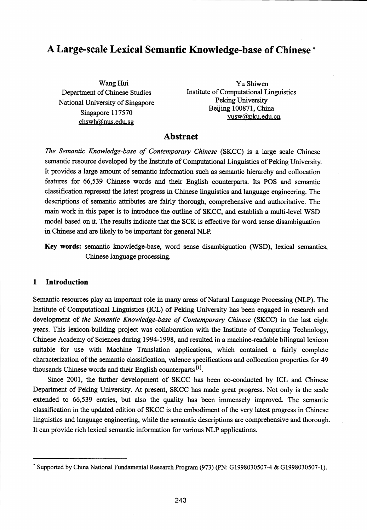# A Large-scale Lexical Semantic Knowledge-base of Chinese

Wang Hui Department of Chinese Studies National University of Singapore Singapore 117570 chswh@nus.edu.sg

Yu Shiwen Institute of Computational Linguistics Peking University Beijing 100871, China yusw@pku.edu.cn

# Abstract

*The Semantic Knowledge-base of Contemporary Chinese* (SKCC) is a large scale Chinese semantic resource developed by the Institute of Computational Linguistics of Peking University. It provides a large amount of semantic information such as semantic hierarchy and collocation features for 66,539 Chinese words and their English counterparts. Its POS and semantic classification represent the latest progress in Chinese linguistics and language engineering. The descriptions of semantic attributes are fairly thorough, comprehensive and authoritative. The main work in this paper is to introduce the outline of SKCC, and establish a multi-level WSD model based on it. The results indicate that the SCK is effective for word sense disambiguation in Chinese and are likely to be important for general NLP.

Key words: semantic knowledge-base, word sense disambiguation (WSD), lexical semantics, Chinese language processing.

## 1 Introduction

Semantic resources play an important role in many areas of Natural Language Processing (NLP). The Institute of Computational Linguistics (ICL) of Peking University has been engaged in research and development of *the Semantic Knowledge-base of Contemporary Chinese* (SKCC) in the last eight years. This lexicon-building project was collaboration with the Institute of Computing Technology, Chinese Academy of Sciences during 1994-1998, and resulted in a machine-readable bilingual lexicon suitable for use with Machine Translation applications, which contained a fairly complete characterization of the semantic classification, valence specifications and collocation properties for 49 thousands Chinese words and their English counterparts<sup>[1]</sup>.

Since 2001, the further development of SKCC has been co-conducted by ICL and Chinese Department of Peking University. At present, SKCC has made great progress. Not only is the scale extended to 66,539 entries, but also the quality has been immensely improved. The semantic classification in the updated edition of SKCC is the embodiment of the very latest progress in Chinese linguistics and language engineering, while the semantic descriptions are comprehensive and thorough. It can provide rich lexical semantic information for various NLP applications.

<sup>\*</sup> Supported by China National Fundamental Research Program (973) (PN: G1998030507-4 & G1998030507-1).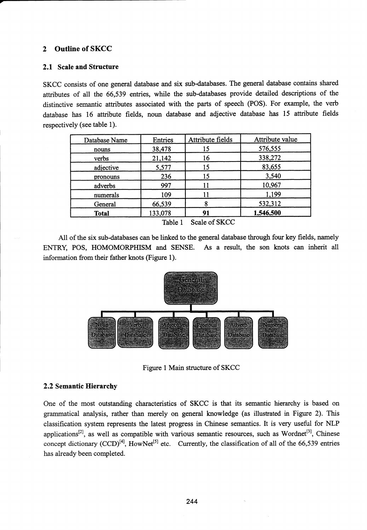# 2 Outline of SKCC

#### 2.1 Scale and Structure

SKCC consists of one general database and six sub-databases. The general database contains shared attributes of all the 66,539 entries, while the sub-databases provide detailed descriptions of the distinctive semantic attributes associated with the parts of speech (POS). For example, the verb database has 16 attribute fields, noun database and adjective database has 15 attribute fields respectively (see table 1).

| Database Name                   | Entries | Attribute fields | Attribute value |  |  |  |
|---------------------------------|---------|------------------|-----------------|--|--|--|
| nouns                           | 38,478  | 15               | 576,555         |  |  |  |
| verbs                           | 21,142  | 16               | 338,272         |  |  |  |
| adjective                       | 5,577   | 15               | 83,655          |  |  |  |
| pronouns                        | 236     | 15               | 3,540           |  |  |  |
| adverbs                         | 997     |                  | 10,967          |  |  |  |
| numerals                        | 109     |                  | 1,199           |  |  |  |
| General                         | 66,539  | 8                | 532,312         |  |  |  |
| <b>Total</b>                    | 133,078 | 91               | 1,546,500       |  |  |  |
| 77.11.1<br>$0.1$ $0.017$ $0.01$ |         |                  |                 |  |  |  |

Table 1 Scale of SKCC

All of the six sub-databases can be linked to the general database through four key fields, namely ENTRY, POS, HOMOMORPHISM and SENSE. As a result, the son knots can inherit all information from their father knots (Figure 1).



Figure 1 Main structure of SKCC

#### 2.2 Semantic Hierarchy

One of the most outstanding characteristics of SKCC is that its semantic hierarchy is based on grammatical analysis, rather than merely on general knowledge (as illustrated in Figure 2). This classification system represents the latest progress in Chinese semantics. It is very useful for NLP applications<sup>[2]</sup>, as well as compatible with various semantic resources, such as Wordnet<sup>[3]</sup>, Chinese concept dictionary  $(CCD)^{[4]}$ , HowNet<sup>[5]</sup> etc. Currently, the classification of all of the 66,539 entries has already been completed.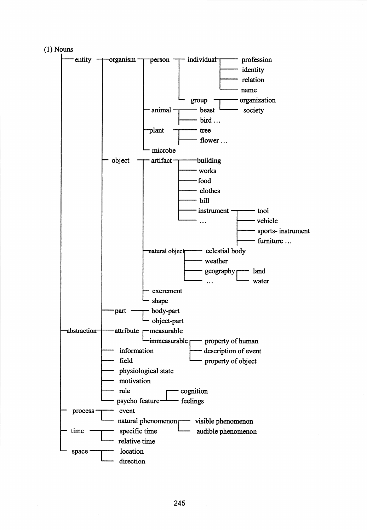

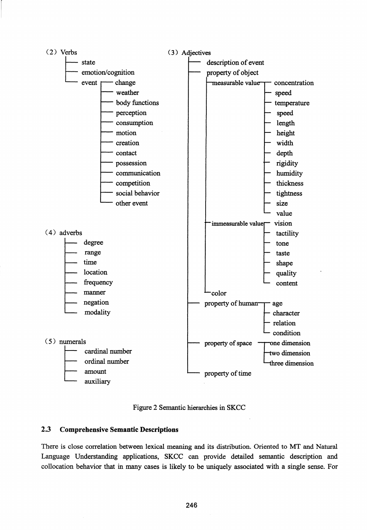



## 2.3 Comprehensive Semantic Descriptions

There is close correlation between lexical meaning and its distribution. Oriented to MT and Natural Language Understanding applications, SKCC can provide detailed semantic description and collocation behavior that in many cases is likely to be uniquely associated with a single sense. For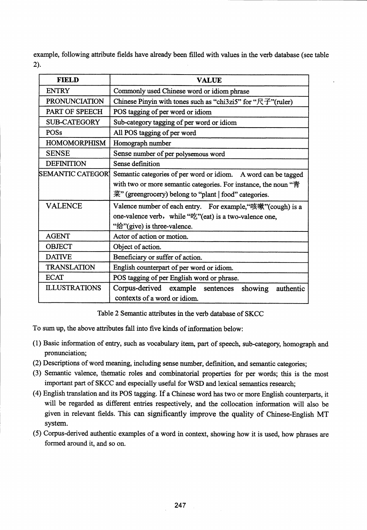example, following attribute fields have already been filled with values in the verb database (see table 2).

| <b>FIELD</b>             | VALUE                                                                                                                                                                                       |  |  |  |  |  |  |
|--------------------------|---------------------------------------------------------------------------------------------------------------------------------------------------------------------------------------------|--|--|--|--|--|--|
| <b>ENTRY</b>             | Commonly used Chinese word or idiom phrase                                                                                                                                                  |  |  |  |  |  |  |
| <b>PRONUNCIATION</b>     | Chinese Pinyin with tones such as "chi3zi5" for " $\overrightarrow{R}$ "(ruler)                                                                                                             |  |  |  |  |  |  |
| PART OF SPEECH           | POS tagging of per word or idiom                                                                                                                                                            |  |  |  |  |  |  |
| <b>SUB-CATEGORY</b>      | Sub-category tagging of per word or idiom                                                                                                                                                   |  |  |  |  |  |  |
| POSs                     | All POS tagging of per word                                                                                                                                                                 |  |  |  |  |  |  |
| <b>HOMOMORPHISM</b>      | Homograph number                                                                                                                                                                            |  |  |  |  |  |  |
| <b>SENSE</b>             | Sense number of per polysemous word                                                                                                                                                         |  |  |  |  |  |  |
| <b>DEFINITION</b>        | Sense definition                                                                                                                                                                            |  |  |  |  |  |  |
| <b>SEMANTIC CATEGORI</b> | Semantic categories of per word or idiom. A word can be tagged<br>with two or more semantic categories. For instance, the noun "青<br>菜" (greengrocery) belong to "plant   food" categories. |  |  |  |  |  |  |
| <b>VALENCE</b>           | Valence number of each entry. For example, "咳嗽" (cough) is a<br>one-valence verb, while ""z" (eat) is a two-valence one,<br>"给"(give) is three-valence.                                     |  |  |  |  |  |  |
| <b>AGENT</b>             | Actor of action or motion.                                                                                                                                                                  |  |  |  |  |  |  |
| <b>OBJECT</b>            | Object of action.                                                                                                                                                                           |  |  |  |  |  |  |
| <b>DATIVE</b>            | Beneficiary or suffer of action.                                                                                                                                                            |  |  |  |  |  |  |
| <b>TRANSLATION</b>       | English counterpart of per word or idiom.                                                                                                                                                   |  |  |  |  |  |  |
| <b>ECAT</b>              | POS tagging of per English word or phrase.                                                                                                                                                  |  |  |  |  |  |  |
| <b>ILLUSTRATIONS</b>     | Corpus-derived example sentences<br>showing<br>authentic<br>contexts of a word or idiom.                                                                                                    |  |  |  |  |  |  |

Table 2 Semantic attributes in the verb database of SKCC

To sum up, the above attributes fall into five kinds of information below:

- (1) Basic information of entry, such as vocabulary item, part of speech, sub-category, homograph and pronunciation;
- (2) Descriptions of word meaning, including sense number, definition, and semantic categories;
- (3) Semantic valence, thematic roles and combinatorial properties for per words; this is the most important part of SKCC and especially useful for WSD and lexical semantics research;
- (4) English translation and its POS tagging. If a Chinese word has two or more English counterparts, it will be regarded as different entries respectively, and the collocation information will also be given in relevant fields. This can significantly improve the quality of Chinese-English MT system.
- (5) Corpus-derived authentic examples of a word in context, showing how it is used, how phrases are formed around it, and so on.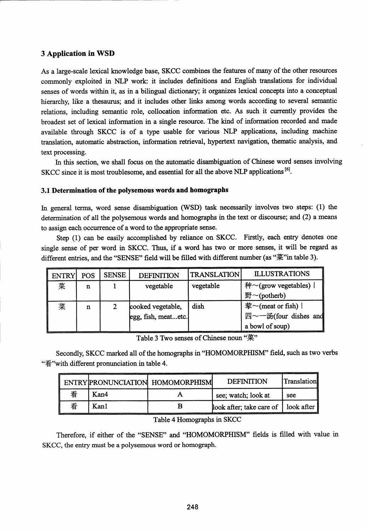## 3 Application in WSD

As a large-scale lexical knowledge base, SKCC combines the features of many of the other resources commonly exploited in NLP work: it includes definitions and English translations for individual senses of words within it, as in a bilingual dictionary; it organizes lexical concepts into a conceptual hierarchy, like a thesaurus; and it includes other links among words according to several semantic relations, including semantic role, collocation information etc. As such it currently provides the broadest set of lexical information in a single resource. The kind of information recorded and made available through SKCC is of a type usable for various NLP applications, including machine translation, automatic abstraction, information retrieval, hypertext navigation, thematic analysis, and text processing.

In this section, we shall focus on the automatic disambiguation of Chinese word senses involving SKCC since it is most troublesome, and essential for all the above NLP applications <sup>[6]</sup>.

## 3.1 Determination of the polysemous words and homographs

In general terms, word sense disambiguation (WSD) task necessarily involves two steps: (1) the determination of all the polysemous words and homographs in the text or discourse; and (2) a means to assign each occurrence of a word to the appropriate sense.

Step (1) can be easily accomplished by reliance on SKCC. Firstly, each entry denotes one single sense of per word in SKCC. Thus, if a word has two or more senses, it will be regard as different entries, and the "SENSE" field will be filled with different number (as "菜"in table 3).

| <b>ENTRY</b> | <b>POS</b> | <b>SENSE</b> | <b>DEFINITION</b>                        | <b>TRANSLATION</b> | <b>ILLUSTRATIONS</b>                                            |
|--------------|------------|--------------|------------------------------------------|--------------------|-----------------------------------------------------------------|
| 菜            | n          |              | vegetable                                | vegetable          | 种 $\sim$ (grow vegetables)  <br>野 $\sim$ (potherb)              |
| 菜            | n          |              | cooked vegetable,<br>egg, fish, meatetc. | dish               | 荤~(meat or fish) $ $<br>四~一汤(four dishes and<br>a bowl of soup) |

Table 3 Two senses of Chinese noun "菜"

Secondly, SKCC marked all of the homographs in "HOMOMORPHISM" field, such as two verbs "看"with different pronunciation in table 4.

|   |      | ENTRYPRONUNCIATION HOMOMORPHISM | <b>DEFINITION</b>                     | Translation |
|---|------|---------------------------------|---------------------------------------|-------------|
| 看 | Kan4 |                                 | see; watch; look at                   | see         |
| 看 | Kanl |                                 | look after; take care of   look after |             |

Table 4 Homographs in SKCC

Therefore, if either of the "SENSE" and "HOMOMORPHISM" fields is filled with value in SKCC, the entry must be a polysemous word or homograph.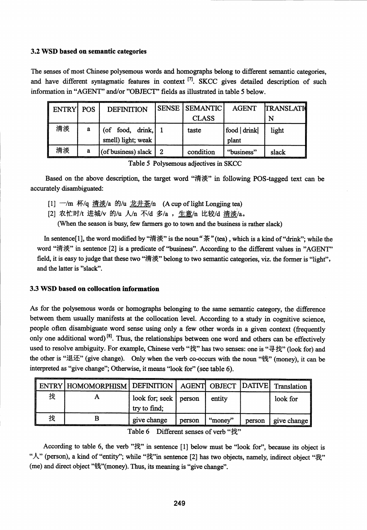# 3.2 WSD based on semantic categories

The senses of most Chinese polysemous words and homographs belong to different semantic categories, and have different syntagmatic features in context  $^{[7]}$ . SKCC gives detailed description of such information in "AGENT" and/or "OBJECT" fields as illustrated in table 5 below.

| ENTRY   POS |   | <b>DEFINITION</b>                      | <b>SENSE   SEMANTIC</b> | <b>AGENT</b> | <b>TRANSLATI</b> |
|-------------|---|----------------------------------------|-------------------------|--------------|------------------|
|             |   |                                        | <b>CLASS</b>            |              | N                |
| 清淡          | a | (of food, drink,<br>smell) light; weak | taste                   | food drink   | light            |
|             |   |                                        |                         | plant        |                  |
| 清淡          | a | (of business) slack $ $                | condition               | "business"   | slack            |

Table 5 Polysemous adjectives in SKCC

Based on the above description, the target word "清淡" in following POS-tagged text can be accurately disambiguated:

- [1]  $-\prime$ m 杯/q 清淡/a 的/u  $\n 2#$ 茶/n (A cup of light Longjing tea)
- [2] 农忙时/t 进城/v 的/u 人/n 不/d 多/a , 生意/n 比较/d 清淡/a。

(When the season is busy, few farmers go to town and the business is rather slack)

In sentence [1], the word modified by "清淡" is the noun "茶" (tea), which is a kind of "drink"; while the word "清淡" in sentence [2] is a predicate of "business". According to the different values in "AGENT" field, it is easy to judge that these two "清淡" belong to two semantic categories, viz. the former is "light", and the latter is "slack".

## 3.3 WSD based on collocation information

As for the polysemous words or homographs belonging to the same semantic category, the difference between them usually manifests at the collocation level. According to a study in cognitive science, people often disambiguate word sense using only a few other words in a given context (frequently only one additional word)<sup>[8]</sup>. Thus, the relationships between one word and others can be effectively used to resolve ambiguity. For example, Chinese verb "找" has two senses: one is "寻找" (look for) and the other is "退还" (give change). Only when the verb co-occurs with the noun "钱" (money), it can be interpreted as "give change"; Otherwise, it means "look for" (see table 6).

|   | ENTRY HOMOMORPHISM   DEFINITION   AGENT   OBJECT   DATIVE   Translation |                                         |        |         |        |             |
|---|-------------------------------------------------------------------------|-----------------------------------------|--------|---------|--------|-------------|
| 找 |                                                                         | look for; seek   person<br>try to find; |        | entity  |        | look for    |
| 北 |                                                                         | give change                             | person | "money" | person | give change |

Table 6 Different senses of verb "找"

According to table 6, the verb " $\ddagger \ddagger$ " in sentence [1] below must be "look for", because its object is " $\mathcal{N}$ " (person), a kind of "entity"; while " $\ddagger \ddagger$ " in sentence [2] has two objects, namely, indirect object " $\ddagger \ddagger$ " (me) and direct object "钱"(money). Thus, its meaning is "give change".